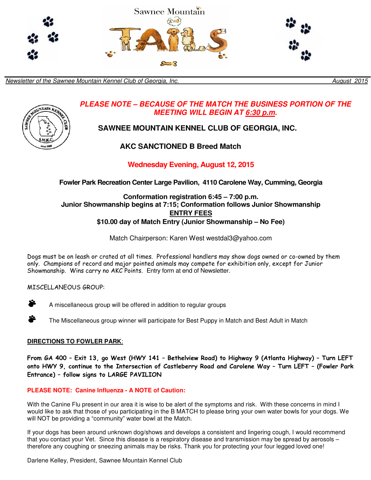

Newsletter of the Sawnee Mountain Kennel Club of Georgia, Inc. **Newsletter of the Sawnee Mountain Kennel Club of Georgia, Inc. August 2015** 



# **PLEASE NOTE – BECAUSE OF THE MATCH THE BUSINESS PORTION OF THE MEETING WILL BEGIN AT 6:30 p.m.**

# **SAWNEE MOUNTAIN KENNEL CLUB OF GEORGIA, INC.**

# **AKC SANCTIONED B Breed Match**

# **Wednesday Evening, August 12, 2015**

**Fowler Park Recreation Center Large Pavilion, 4110 Carolene Way, Cumming, Georgia** 

### **Conformation registration 6:45 – 7:00 p.m. Junior Showmanship begins at 7:15; Conformation follows Junior Showmanship ENTRY FEES \$10.00 day of Match Entry (Junior Showmanship – No Fee)**

Match Chairperson: Karen West westdal3@yahoo.com

Dogs must be on leash or crated at all times. Professional handlers may show dogs owned or co-owned by them only. Champions of record and major pointed animals may compete for exhibition only, except for Junior Showmanship. Wins carry no AKC Points. Entry form at end of Newsletter.

## MISCELLANEOUS GROUP:

A miscellaneous group will be offered in addition to regular groups

 $\bullet$  The Miscellaneous group winner will participate for Best Puppy in Match and Best Adult in Match

## **DIRECTIONS TO FOWLER PARK**:

From GA 400 – Exit 13, go West (HWY 141 – Bethelview Road) to Highway 9 (Atlanta Highway) – Turn LEFT onto HWY 9, continue to the Intersection of Castleberry Road and Carolene Way – Turn LEFT – (Fowler Park Entrance) – follow signs to LARGE PAVILION

## **PLEASE NOTE: Canine Influenza - A NOTE of Caution:**

With the Canine Flu present in our area it is wise to be alert of the symptoms and risk. With these concerns in mind I would like to ask that those of you participating in the B MATCH to please bring your own water bowls for your dogs. We will NOT be providing a "community" water bowl at the Match.

If your dogs has been around unknown dog/shows and develops a consistent and lingering cough, I would recommend that you contact your Vet. Since this disease is a respiratory disease and transmission may be spread by aerosols – therefore any coughing or sneezing animals may be risks. Thank you for protecting your four legged loved one!

Darlene Kelley, President, Sawnee Mountain Kennel Club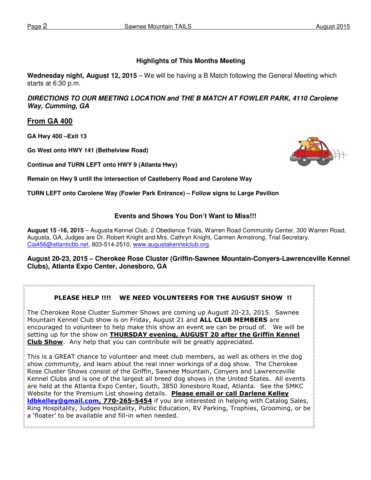### **Highlights of This Months Meeting**

**Wednesday night, August 12, 2015** – We will be having a B Match following the General Meeting which starts at 6:30 p.m.

**DIRECTIONS TO OUR MEETING LOCATION and THE B MATCH AT FOWLER PARK, 4110 Carolene Way, Cumming, GA** 

### **From GA 400**

**GA Hwy 400 –Exit 13** 

**Go West onto HWY 141 (Bethelview Road)** 

**Continue and TURN LEFT onto HWY 9 (Atlanta Hwy)** 



**Remain on Hwy 9 until the intersection of Castleberry Road and Carolene Way** 

**TURN LEFT onto Carolene Way (Fowler Park Entrance) – Follow signs to Large Pavilion** 

### **Events and Shows You Don't Want to Miss!!!**

**August 15 -16, 2015** – Augusta Kennel Club, 2 Obedience Trials, Warren Road Community Center, 300 Warren Road, Augusta, GA, Judges are Dr. Robert Knight and Mrs. Cathryn Knight, Carmen Armstrong, Trial Secretary. Cia456@atlanticbb.net, 803-514-2510, www.augustakennelclub.org.

### **August 20-23, 2015 – Cherokee Rose Cluster (Griffin-Sawnee Mountain-Conyers-Lawrenceville Kennel Clubs), Atlanta Expo Center, Jonesboro, GA**

### PLEASE HELP !!!! WE NEED VOLUNTEERS FOR THE AUGUST SHOW !!

The Cherokee Rose Cluster Summer Shows are coming up August 20-23, 2015. Sawnee Mountain Kennel Club show is on Friday, August 21 and ALL CLUB MEMBERS are encouraged to volunteer to help make this show an event we can be proud of. We will be setting up for the show on **THURSDAY evening, AUGUST 20 after the Griffin Kennel** Club Show. Any help that you can contribute will be greatly appreciated.

This is a GREAT chance to volunteer and meet club members, as well as others in the dog show community, and learn about the real inner workings of a dog show. The Cherokee Rose Cluster Shows consist of the Griffin, Sawnee Mountain, Conyers and Lawrenceville Kennel Clubs and is one of the largest all breed dog shows in the United States. All events are held at the Atlanta Expo Center, South, 3850 Jonesboro Road, Atlanta. See the SMKC Website for the Premium List showing details. Please email or call Darlene Kelley **Idbkelley@gmail.com, 770-265-5454** if you are interested in helping with Catalog Sales, Ring Hospitality, Judges Hospitality, Public Education, RV Parking, Trophies, Grooming, or be a 'floater' to be available and fill-in when needed.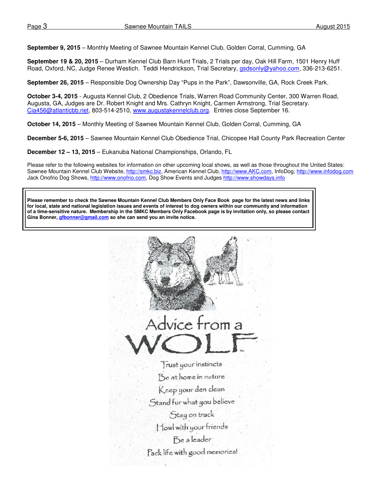**September 9, 2015** – Monthly Meeting of Sawnee Mountain Kennel Club, Golden Corral, Cumming, GA

**September 19 & 20, 2015** – Durham Kennel Club Barn Hunt Trials, 2 Trials per day, Oak Hill Farm, 1501 Henry Huff Road, Oxford, NC, Judge Renee Westich. Teddi Hendrickson, Trial Secretary, gsdsonly@yahoo.com, 336-213-6251.

**September 26, 2015** – Responsible Dog Ownership Day "Pups in the Park", Dawsonville, GA, Rock Creek Park.

**October 3-4, 2015** - Augusta Kennel Club, 2 Obedience Trials, Warren Road Community Center, 300 Warren Road, Augusta, GA, Judges are Dr. Robert Knight and Mrs. Cathryn Knight, Carmen Armstrong, Trial Secretary. Cia456@atlanticbb.net, 803-514-2510, www.augustakennelclub.org. Entries close September 16.

**October 14, 2015** – Monthly Meeting of Sawnee Mountain Kennel Club, Golden Corral, Cumming, GA

**December 5-6, 2015** – Sawnee Mountain Kennel Club Obedience Trial, Chicopee Hall County Park Recreation Center

**December 12 – 13, 2015** – Eukanuba National Championships, Orlando, FL

Please refer to the following websites for information on other upcoming local shows, as well as those throughout the United States: Sawnee Mountain Kennel Club Website, http://smkc.biz, American Kennel Club, http://www.AKC.com, InfoDog, http://www.infodog.com Jack Onofrio Dog Shows, http://www.onofrio.com, Dog Show Events and Judges http://www.showdays.info

**Please remember to check the Sawnee Mountain Kennel Club Members Only Face Book page for the latest news and links for local, state and national legislation issues and events of interest to dog owners within our community and information of a time-sensitive nature. Membership in the SMKC Members Only Facebook page is by invitation only, so please contact Gina Bonner, gfbonner@gmail.com so she can send you an invite notice.** 

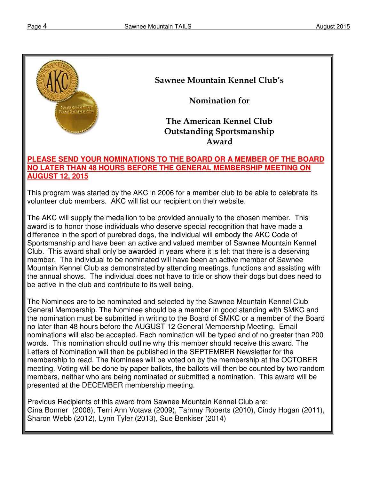

# Sawnee Mountain Kennel Club's

Nomination for

# The American Kennel Club Outstanding Sportsmanship Award

# **PLEASE SEND YOUR NOMINATIONS TO THE BOARD OR A MEMBER OF THE BOARD NO LATER THAN 48 HOURS BEFORE THE GENERAL MEMBERSHIP MEETING ON AUGUST 12, 2015**

This program was started by the AKC in 2006 for a member club to be able to celebrate its volunteer club members. AKC will list our recipient on their website.

The AKC will supply the medallion to be provided annually to the chosen member. This award is to honor those individuals who deserve special recognition that have made a difference in the sport of purebred dogs, the individual will embody the AKC Code of Sportsmanship and have been an active and valued member of Sawnee Mountain Kennel Club. This award shall only be awarded in years where it is felt that there is a deserving member. The individual to be nominated will have been an active member of Sawnee Mountain Kennel Club as demonstrated by attending meetings, functions and assisting with the annual shows. The individual does not have to title or show their dogs but does need to be active in the club and contribute to its well being.

The Nominees are to be nominated and selected by the Sawnee Mountain Kennel Club General Membership. The Nominee should be a member in good standing with SMKC and the nomination must be submitted in writing to the Board of SMKC or a member of the Board no later than 48 hours before the AUGUST 12 General Membership Meeting. Email nominations will also be accepted. Each nomination will be typed and of no greater than 200 words. This nomination should outline why this member should receive this award. The Letters of Nomination will then be published in the SEPTEMBER Newsletter for the membership to read. The Nominees will be voted on by the membership at the OCTOBER meeting. Voting will be done by paper ballots, the ballots will then be counted by two random members, neither who are being nominated or submitted a nomination. This award will be presented at the DECEMBER membership meeting.

Previous Recipients of this award from Sawnee Mountain Kennel Club are: Gina Bonner (2008), Terri Ann Votava (2009), Tammy Roberts (2010), Cindy Hogan (2011), Sharon Webb (2012), Lynn Tyler (2013), Sue Benkiser (2014)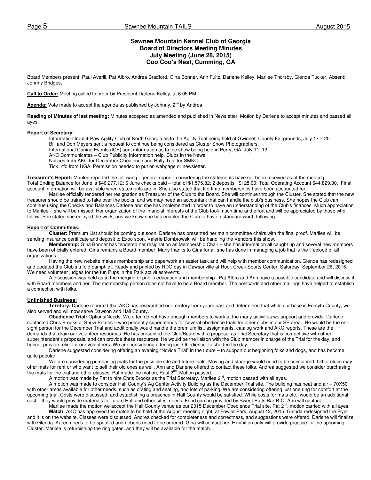### **Sawnee Mountain Kennel Club of Georgia Board of Directors Meeting Minutes July Meeting (June 28, 2015) Coo Coo's Nest, Cumming, GA**

Board Members present: Paul Averill, Pat Albro, Andrea Bradford, Gina Bonner, Ann Fultz, Darlene Kelley, Marilee Thorsby, Glenda Tucker, Absent: Johnny Bridges,

**Call to Order:** Meeting called to order by President Darlene Kelley, at 6:05 PM.

Agenda: Vote made to accept the agenda as published by Johnny, 2<sup>nd</sup> by Andrea.

**Reading of Minutes of last meeting:** Minutes accepted as amended and published in Newsletter. Motion by Darlene to accept minutes and passed all ayes.

#### **Report of Secretary:**

Information from 4-Paw Agility Club of North Georgia as to the Agility Trial being held at Gwinnett County Fairgrounds, July 17 – 20. Bill and Don Meyers sent a request to continue being considered as Cluster Show Photographers. International Canine Events (ICE) sent information as to the show being held in Perry, GA, July 11, 12. AKC Communicates – Club Publicity Information help. Clubs in the News. Notices from AKC for December Obedience and Rally Trial for SMKC. Tick Info from UGA. Permission needed to put on webpage or newsletter.

**Treasurer's Report:** Marilee reported the following - general report - considering the statements have not been received as of the meeting. Total Ending Balance for June is \$46,277.12; 6 June checks paid – total of \$1,575.82; 2 deposits =\$128.00; Total Operating Account \$44,829.30. Final account information will be available when statements are in. She also stated that life-time memberships have been accounted for.

 Marilee officially tendered her resignation as Treasurer of the Club to the Board. She will continue through the Cluster. She stated that the new treasurer should be trained to take over the books, and we may need an accountant that can handle the club's business. She hopes the Club can continue using the Checks and Balances Darlene and she has implemented in order to have an understanding of the Club's finances. Much appreciation to Marilee – she will be missed. Her organization of the financial interests of the Club took much time and effort and will be appreciated by those who follow. She stated she enjoyed the work, and we know she has enabled the Club to have a standard worth following.

#### **Report of Committees:**

**Cluster:** Premium List should be coming out soon. Darlene has presented her main committee chairs with the final proof. Marilee will be sending insurance certificate and deposit to Expo soon. Valerie Dombrowski will be handling the Vendors this show.

**Membership:** Gina Bonner has tendered her resignation as Membership Chair – she has information all caught up and several new members have been officially entered. Gina remains a Board member. Many thanks to Gina for all she has done in managing a job that is the lifeblood of all organizations

Having the new website makes membership and paperwork an easier task and will help with member communication. Glenda has redesigned and updated the Club's trifold pamphlet. Ready and printed by RDO day in Dawsonville at Rock Creek Sports Center, Saturday, September 26, 2015. We need volunteer judges for the fun Pups in the Park activities/events.

 A discussion was held as to the merging of public education and membership. Pat Albro and Ann have a possible candidate and will discuss it with Board members and her. The membership person does not have to be a Board member. The postcards and other mailings have helped to establish a connection with folks.

#### **Unfinished Business:**

**Territory:** Darlene reported that AKC has researched our territory from years past and determined that while our base is Forsyth County, we also served and will now serve Dawson and Hall County.

**Obedience Trial:** Options/Needs. We often do not have enough members to work at the many activities we support and provide. Darlene contacted Chris Brooks of Show Entries – who presently superintends for several obedience trials for other clubs in our SE area. He would be the onsight person for the December Trial and additionally would handle the premium list, assignments, catalog work and AKC reports. These are the demands that drain our volunteer resources. He has presented the Club/Board with a proposal as Trial Secretary that is competitive with other superintendent's proposals, and can provide these resources. He would be the liaison with the Club member in charge of the Trial for the day, and hence, provide relief for our volunteers. We are considering offering just Obedience, to shorten the day.

Darlene suggested considering offering an evening "Novice Trial" in the future – to support our beginning folks and dogs, and has become quite popular.

We are considering purchasing mats for the possible site and future trials. Moving and storage would need to be considered. Other clubs may offer mats for rent or who want to sell their old ones as well. Ann and Darlene offered to contact these folks. Andrea suggested we consider purchasing the mats for the trial and other classes. Pat made the motion, Paul  $2^{nd}$ . Motion passed.

A motion was made by Pat to hire Chris Brooks as the Trial Secretary. Marilee  $2^{nd}$ , motion passed with all ayes.

A motion was made to consider Hall County's Ag Center Activity Building as the December Trial site. The building has heat and air – 70X50' with other areas available for other needs, such as crating and seating, and lots of parking. We are considering offering just one ring for comfort at the upcoming trial. Costs were discussed, and establishing a presence in Hall County would be satisfied. While costs for mats etc., would be an additional cost – they would provide materials for future Hall and other sites' needs. Food can be provided by Sweet Butts Bar-B-Q. Ann will contact.

Marilee made the motion we accept the Hall County venue as our 2015 December Obedience Trial site, Pat 2<sup>nd</sup>, motion carried with all ayes. **Match:** AKC has approved the match to be held at the August meeting night, at Fowler Park, August 12, 2015. Glenda redesigned the Flyer and it is on the website. Classes were discussed. Andrea checked for completeness and correctness, and suggestions were offered. Darlene will finalize with Glenda. Karen needs to be updated and ribbons need to be ordered. Gina will contact her. Exhibition only will provide practice for the upcoming Cluster. Marilee is refurbishing the ring gates, and they will be available for the match.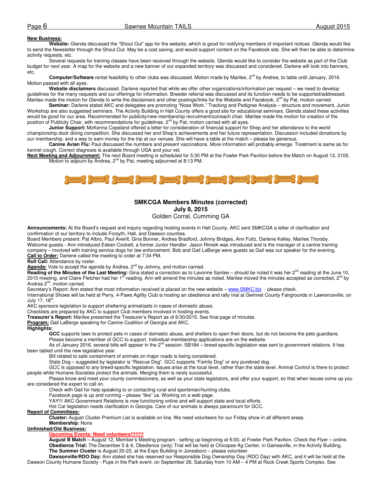#### **New Business:**

**Website:** Glenda discussed the "Shout Out" app for the website, which is good for notifying members of important notices. Glenda would like to send the Newsletter through the Shout Out. May be a cost saving, and would support content on the Facebook site. She will then be able to determine activity requests, etc.

Several requests for training classes have been received through the website. Glenda would like to consider the website as part of the Club budget for next year. A map for the website and a new banner of our expanded territory was discussed and considered. Darlene will look into banners, etc.

Computer/Software rental feasibility to other clubs was discussed. Motion made by Marilee, 2<sup>nd</sup> by Andrea, to table until January, 2016. Motion passed with all ayes.

**Website disclaimers** discussed. Darlene reported that while we offer other organizations/information per request – we need to develop guidelines for the many requests and our offerings for information. Breeder referral was discussed and its function needs to be supported/addressed. Marilee made the motion for Glenda to write the disclaimers and other postings/links for the Website and Facebook, 2<sup>nd</sup> by Pat, motion carried.

**Seminar:** Darlene stated AKC and delegates are promoting "Nose Work." Tracking and Pedigree Analysis – structure and movement, Junior Workshop are also suggested seminars. The Activity Building in Hall County offers a good site for educational seminars. Glenda stated these activities would be good for our area. Recommended for publicity/new membership recruitment/outreach chair. Marilee made the motion for creation of the position of Publicity Chair, with recommendations for guidelines. 2<sup>nd</sup> by Pat, motion carried with all ayes.

**Junior Support:** McKenna Copeland offered a letter for consideration of financial support for Shep and her attendance to the world championship dock diving competition. She discussed her and Shep's achievements and her future representation. Discussion included donations by our membership, and a way to earn money for the trip at our venues. She will have a table at the match – please be generous.

**Canine Avian Flu:** Paul discussed the numbers and present vaccinations. More information will probably emerge. Treatment is same as for kennel cough. Correct diagnosis is available through UGA and your vet.

**Next Meeting and Adjournment:** The next Board meeting is scheduled for 5:30 PM at the Fowler Park Pavilion before the Match on August 12, 2105. Motion to adjourn by Andrea, 2<sup>nd</sup> by Pat, meeting adjourned at 8:13 PM.



### **SMKCGA Members Minutes (corrected) July 8, 2015**  Golden Corral, Cumming GA

**Announcements:** At the Board's request and inquiry regarding hosting events in Hall County, AKC sent SMKCGA a letter of clarification and confirmation of our territory to include Forsyth, Hall, and Dawson counties.

Board Members present: Pat Albro, Paul Averill, Gina Bonner, Andrea Bradford, Johnny Bridges, Ann Fultz, Darlene Kelley, Marilee Thorsby. Welcome guests - Ann introduced Edean Cockett, a former Junior Handler. Jason Rimeik was introduced and is the manager of a canine training company – involved with training service dogs for law enforcement. Bob and Gail LaBerge were guests as Gail was our speaker for the evening. **Call to Order:** Darlene called the meeting to order at 7:34 PM.

**Roll Call:** Attendance by roster.

Agenda: Vote to accept the agenda by Andrea, 2<sup>nd</sup> by Johnny, and motion carried.

**Reading of the Minutes of the Last Meeting:** Gina stated a correction as to Lavonne Santee – should be noted it was her 2<sup>nd</sup> reading at the June 10, 2015 meeting, and Claire Fletcher had her 1<sup>st</sup> reading. Ann will amend the minutes as noted. Marilee moved the minutes accepted as corrected, 2<sup>nd</sup> by Andrea 2<sup>nd</sup>, motion carried.

Secretary's Report: Ann stated that most information received is placed on the new website – www.SMKC.biz - please check.

International Shows will be held at Perry, 4-Paws Agility Club is hosting an obedience and rally trial at Gwinnet County Fairgrounds in Lawrenceville, on July 17, 18 $^{\text{th}}$ .

AKC sponsors legislation to support sheltering animal/pets in cases of domestic abuse.

Checklists are prepared by AKC to support Club members involved in hosting events.

**Treasurer's Report:** Marilee presented the Treasurer's Report as of 6/30/2015. See final page of minutes.

**Program:** Gail LaBerge speaking for Canine Coalition of Georgia and AKC.

#### **Highlights:**

**GCC** supports laws to protect pets in cases of domestic abuse, and shelters to open their doors, but do not become the pets guardians. Please become a member of GCC to support. Individual membership applications are on the website.

As of January 2016, several bills will appear in the 2<sup>nd</sup> session. SB184 – breed-specific legislation was sent to government relations. It has been tabled until the new legislative year.

Bill related to safe containment of animals on major roads is being considered.

State Dog - suggested by legislator is "Rescue Dog". GCC supports "Family Dog" or any purebred dog.

GCC is opposed to any breed-specific legislation. Issues arise at the local level, rather than the state level. Animal Control is there to protect people while Humane Societies protect the animals. Merging them is rarely successful.

Please know and meet your county commissioners, as well as your state legislators, and offer your support, so that when issues come up you are considered the expert to call on.

Check with Gail for help speaking to or contacting rural and sportsman/hunting clubs.

Facebook page is up and running – please "like" us. Working on a web page.

YAY!!! AKC Government Relations is now functioning online and will support state and local efforts.

Hot Car legislation needs clarification in Georgia. Care of our animals is always paramount for GCC.

#### **Report of Committees:**

**Cluster:** August Cluster Premium List is available on line. We need volunteers for our Friday show in all different areas. **Membership:** None

### **Unfinished/Old Business:**

#### **Upcoming Events: Need volunteers!!!!!!!!**

**August B Match** – August 12, Member's Meeting program - setting up beginning at 6:00, at Fowler Park Pavilion. Check the Flyer – online. **Obedience Trial:** The December 5 & 6, Obedience (only) Trial will be held at Chicopee Ag Center, in Gainesville, in the Activity Building. **The Summer Cluster** is August 20-23, at the Expo Building in Jonesboro – please volunteer.

**Dawsonville/RDO Day:** Ann stated she has reserved our Responsible Dog Ownership Day (RDO Day) with AKC, and it will be held at the Dawson County Humane Society - Pups in the Park event, on September 26, Saturday from 10 AM – 4 PM at Rock Creek Sports Complex. See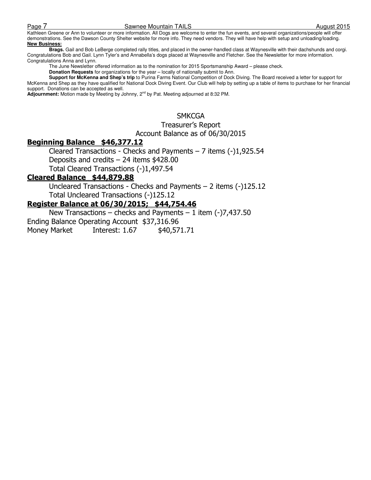### Page 7 November 2015 Sawnee Mountain TAILS **August 2015**

Kathleen Greene or Ann to volunteer or more information. All Dogs are welcome to enter the fun events, and several organizations/people will offer demonstrations. See the Dawson County Shelter website for more info. They need vendors. They will have help with setup and unloading/loading. **New Business:** 

 **Brags.** Gail and Bob LeBerge completed rally titles, and placed in the owner-handled class at Waynesville with their dachshunds and corgi. Congratulations Bob and Gail. Lynn Tyler's and Annabella's dogs placed at Waynesville and Fletcher. See the Newsletter for more information. Congratulations Anna and Lynn.

The June Newsletter offered information as to the nomination for 2015 Sportsmanship Award – please check.

**Donation Requests** for organizations for the year – locally of nationally submit to Ann.

**Support for McKenna and Shep's trip** to Purina Farms National Competition of Dock Diving. The Board received a letter for support for McKenna and Shep as they have qualified for National Dock Diving Event. Our Club will help by setting up a table of items to purchase for her financial support. Donations can be accepted as well.

**Adjournment:** Motion made by Meeting by Johnny, 2nd by Pat. Meeting adjourned at 8:32 PM.

### **SMKCGA**

### Treasurer's Report

Account Balance as of 06/30/2015

## Beginning Balance \$46,377.12

Cleared Transactions - Checks and Payments – 7 items (-)1,925.54 Deposits and credits – 24 items \$428.00 Total Cleared Transactions (-)1,497.54

### Cleared Balance \$44,879.88

Uncleared Transactions - Checks and Payments – 2 items (-)125.12 Total Uncleared Transactions (-)125.12

### Register Balance at 06/30/2015; \$44,754.46

New Transactions – checks and Payments – 1 item  $(-)7,437.50$ Ending Balance Operating Account \$37,316.96 Money Market Interest: 1.67 \$40,571.71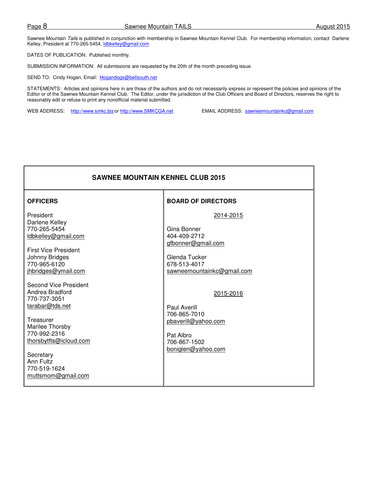Sawnee Mountain Tails is published in conjunction with membership in Sawnee Mountain Kennel Club. For membership information, contact Darlene Kelley, President at 770-265-5454, Idbkelley@gmail.com

DATES OF PUBLICATION: Published monthly.

SUBMISSION INFORMATION: All submissions are requested by the 20th of the month preceding issue.

SEND TO: Cindy Hogan, Email: Hogandogs@bellsouth.net

STATEMENTS: Articles and opinions here in are those of the authors and do not necessarily express or represent the policies and opinions of the Editor or of the Sawnee Mountain Kennel Club. The Editor, under the jurisdiction of the Club Officers and Board of Directors, reserves the right to reasonably edit or refuse to print any nonofficial material submitted.

WEB ADDRESS: http://www.smkc.biz or http://www.SMKCGA.net EMAIL ADDRESS: sawneemountainkc@gmail.com

| <b>SAWNEE MOUNTAIN KENNEL CLUB 2015</b>                                                                                                                                                                                      |                                                                                                                               |  |  |  |
|------------------------------------------------------------------------------------------------------------------------------------------------------------------------------------------------------------------------------|-------------------------------------------------------------------------------------------------------------------------------|--|--|--|
| <b>OFFICERS</b>                                                                                                                                                                                                              | <b>BOARD OF DIRECTORS</b>                                                                                                     |  |  |  |
| President<br>Darlene Kelley<br>770-265-5454<br>ldbkelley@gmail.com<br><b>First Vice President</b><br>Johnny Bridges<br>770-965-6120<br>jhbridges@ymail.com                                                                   | 2014-2015<br>Gina Bonner<br>404-409-2712<br>gfbonner@gmail.com<br>Glenda Tucker<br>678-513-4017<br>sawneemountainkc@gmail.com |  |  |  |
| <b>Second Vice President</b><br>Andrea Bradford<br>770-737-3051<br>tarabar@tds.net<br>Treasurer<br>Marilee Thorsby<br>770-992-2316<br>thorsbytfts@icloud.com<br>Secretary<br>Ann Fultz<br>770-519-1624<br>muttsmom@gmail.com | 2015-2016<br>Paul Averill<br>706-865-7010<br>pbaverill@yahoo.com<br>Pat Albro<br>706-867-1502<br>boniglen@yahoo.com           |  |  |  |